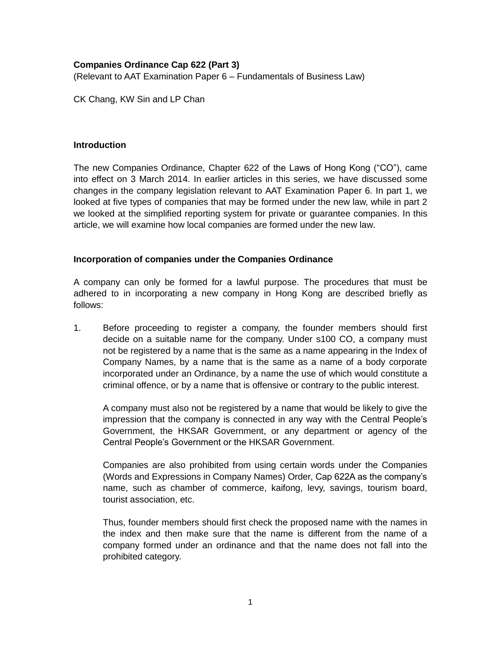## **Companies Ordinance Cap 622 (Part 3)**

(Relevant to AAT Examination Paper 6 – Fundamentals of Business Law)

CK Chang, KW Sin and LP Chan

## **Introduction**

The new Companies Ordinance, Chapter 622 of the Laws of Hong Kong ("CO"), came into effect on 3 March 2014. In earlier articles in this series, we have discussed some changes in the company legislation relevant to AAT Examination Paper 6. In part 1, we looked at five types of companies that may be formed under the new law, while in part 2 we looked at the simplified reporting system for private or guarantee companies. In this article, we will examine how local companies are formed under the new law.

## **Incorporation of companies under the Companies Ordinance**

A company can only be formed for a lawful purpose. The procedures that must be adhered to in incorporating a new company in Hong Kong are described briefly as follows:

1. Before proceeding to register a company, the founder members should first decide on a suitable name for the company. Under s100 CO, a company must not be registered by a name that is the same as a name appearing in the Index of Company Names, by a name that is the same as a name of a body corporate incorporated under an Ordinance, by a name the use of which would constitute a criminal offence, or by a name that is offensive or contrary to the public interest.

A company must also not be registered by a name that would be likely to give the impression that the company is connected in any way with the Central People's Government, the HKSAR Government, or any department or agency of the Central People's Government or the HKSAR Government.

Companies are also prohibited from using certain words under the Companies (Words and Expressions in Company Names) Order, Cap 622A as the company's name, such as chamber of commerce, kaifong, levy, savings, tourism board, tourist association, etc.

Thus, founder members should first check the proposed name with the names in the index and then make sure that the name is different from the name of a company formed under an ordinance and that the name does not fall into the prohibited category.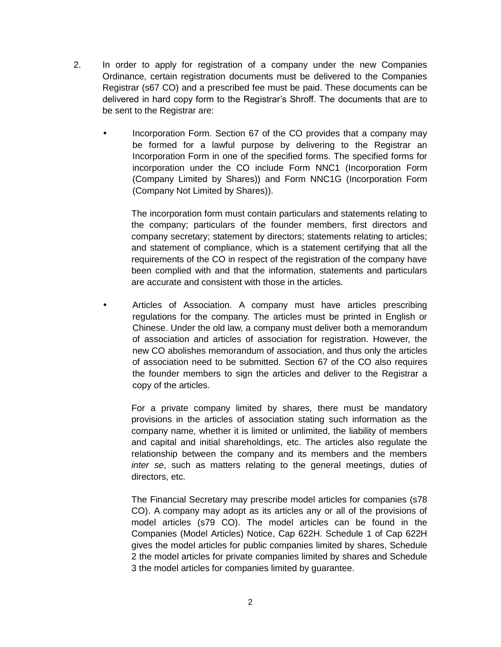- 2. In order to apply for registration of a company under the new Companies Ordinance, certain registration documents must be delivered to the Companies Registrar (s67 CO) and a prescribed fee must be paid. These documents can be delivered in hard copy form to the Registrar's Shroff. The documents that are to be sent to the Registrar are:
	- Incorporation Form. Section 67 of the CO provides that a company may be formed for a lawful purpose by delivering to the Registrar an Incorporation Form in one of the specified forms. The specified forms for incorporation under the CO include Form NNC1 (Incorporation Form (Company Limited by Shares)) and Form NNC1G (Incorporation Form (Company Not Limited by Shares)).

The incorporation form must contain particulars and statements relating to the company; particulars of the founder members, first directors and company secretary; statement by directors; statements relating to articles; and statement of compliance, which is a statement certifying that all the requirements of the CO in respect of the registration of the company have been complied with and that the information, statements and particulars are accurate and consistent with those in the articles.

 Articles of Association. A company must have articles prescribing regulations for the company. The articles must be printed in English or Chinese. Under the old law, a company must deliver both a memorandum of association and articles of association for registration. However, the new CO abolishes memorandum of association, and thus only the articles of association need to be submitted. Section 67 of the CO also requires the founder members to sign the articles and deliver to the Registrar a copy of the articles.

For a private company limited by shares, there must be mandatory provisions in the articles of association stating such information as the company name, whether it is limited or unlimited, the liability of members and capital and initial shareholdings, etc. The articles also regulate the relationship between the company and its members and the members *inter se*, such as matters relating to the general meetings, duties of directors, etc.

The Financial Secretary may prescribe model articles for companies (s78 CO). A company may adopt as its articles any or all of the provisions of model articles (s79 CO). The model articles can be found in the Companies (Model Articles) Notice, Cap 622H. Schedule 1 of Cap 622H gives the model articles for public companies limited by shares, Schedule 2 the model articles for private companies limited by shares and Schedule 3 the model articles for companies limited by guarantee.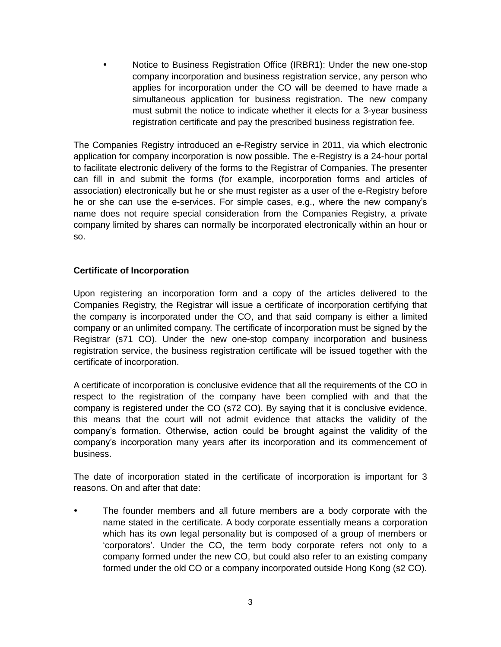Notice to Business Registration Office (IRBR1): Under the new one-stop company incorporation and business registration service, any person who applies for incorporation under the CO will be deemed to have made a simultaneous application for business registration. The new company must submit the notice to indicate whether it elects for a 3-year business registration certificate and pay the prescribed business registration fee.

The Companies Registry introduced an e-Registry service in 2011, via which electronic application for company incorporation is now possible. The e-Registry is a 24-hour portal to facilitate electronic delivery of the forms to the Registrar of Companies. The presenter can fill in and submit the forms (for example, incorporation forms and articles of association) electronically but he or she must register as a user of the e-Registry before he or she can use the e-services. For simple cases, e.g., where the new company's name does not require special consideration from the Companies Registry, a private company limited by shares can normally be incorporated electronically within an hour or so.

## **Certificate of Incorporation**

Upon registering an incorporation form and a copy of the articles delivered to the Companies Registry, the Registrar will issue a certificate of incorporation certifying that the company is incorporated under the CO, and that said company is either a limited company or an unlimited company. The certificate of incorporation must be signed by the Registrar (s71 CO). Under the new one-stop company incorporation and business registration service, the business registration certificate will be issued together with the certificate of incorporation.

A certificate of incorporation is conclusive evidence that all the requirements of the CO in respect to the registration of the company have been complied with and that the company is registered under the CO (s72 CO). By saying that it is conclusive evidence, this means that the court will not admit evidence that attacks the validity of the company's formation. Otherwise, action could be brought against the validity of the company's incorporation many years after its incorporation and its commencement of business.

The date of incorporation stated in the certificate of incorporation is important for 3 reasons. On and after that date:

 The founder members and all future members are a body corporate with the name stated in the certificate. A body corporate essentially means a corporation which has its own legal personality but is composed of a group of members or 'corporators'. Under the CO, the term body corporate refers not only to a company formed under the new CO, but could also refer to an existing company formed under the old CO or a company incorporated outside Hong Kong (s2 CO).